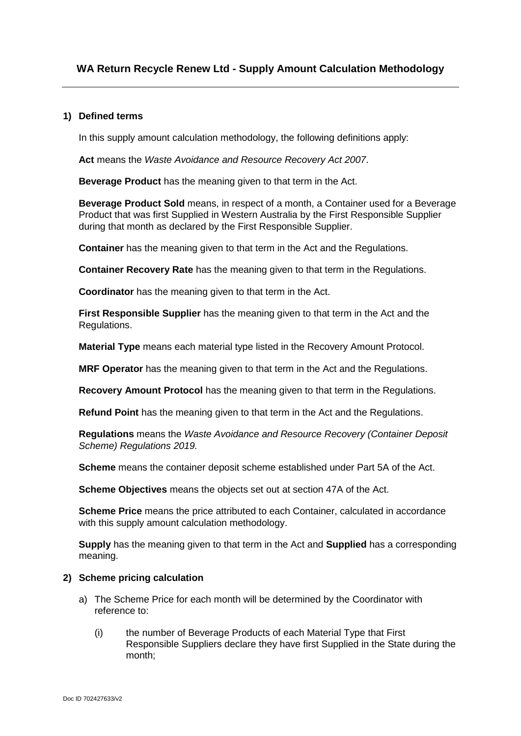## **1) Defined terms**

In this supply amount calculation methodology, the following definitions apply:

**Act** means the *Waste Avoidance and Resource Recovery Act 2007*.

**Beverage Product** has the meaning given to that term in the Act.

**Beverage Product Sold** means, in respect of a month, a Container used for a Beverage Product that was first Supplied in Western Australia by the First Responsible Supplier during that month as declared by the First Responsible Supplier.

**Container** has the meaning given to that term in the Act and the Regulations.

**Container Recovery Rate** has the meaning given to that term in the Regulations.

**Coordinator** has the meaning given to that term in the Act.

**First Responsible Supplier** has the meaning given to that term in the Act and the Regulations.

**Material Type** means each material type listed in the Recovery Amount Protocol.

**MRF Operator** has the meaning given to that term in the Act and the Regulations.

**Recovery Amount Protocol** has the meaning given to that term in the Regulations.

**Refund Point** has the meaning given to that term in the Act and the Regulations.

**Regulations** means the *Waste Avoidance and Resource Recovery (Container Deposit Scheme) Regulations 2019.*

**Scheme** means the container deposit scheme established under Part 5A of the Act.

**Scheme Objectives** means the objects set out at section 47A of the Act.

**Scheme Price** means the price attributed to each Container, calculated in accordance with this supply amount calculation methodology.

**Supply** has the meaning given to that term in the Act and **Supplied** has a corresponding meaning.

## **2) Scheme pricing calculation**

- a) The Scheme Price for each month will be determined by the Coordinator with reference to:
	- (i) the number of Beverage Products of each Material Type that First Responsible Suppliers declare they have first Supplied in the State during the month;